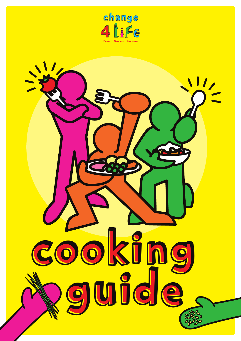

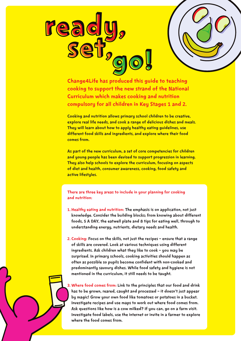



Change4Life has produced this guide to teaching cooking to support the new strand of the National Curriculum which makes cooking and nutrition compulsory for all children in Key Stages 1 and 2.

Cooking and nutrition allows primary school children to be creative, explore real life needs, and cook a range of delicious dishes and meals. They will learn about how to apply healthy eating guidelines, use different food skills and ingredients, and explore where their food comes from.

As part of the new curriculum, a set of core competencies for children and young people has been devised to support progression in learning. They also help schools to explore the curriculum, focusing on aspects of diet and health, consumer awareness, cooking, food safety and active lifestyles.

### There are three key areas to include in your planning for cooking and nutrition:

- 1. Healthy eating and nutrition: The emphasis is on application, not just knowledge. Consider the building blocks; from knowing about different foods, 5 A DAY, the eatwell plate and 8 tips for eating well, through to understanding energy, nutrients, dietary needs and health.
- 2. Cooking: Focus on the skills, not just the recipes ensure that a range of skills are covered. Look at various techniques using different ingredients. Ask children what they like to cook – you may be surprised. In primary schools, cooking activities should happen as often as possible so pupils become confident with non-cooked and predominantly savoury dishes. While food safety and hygiene is not mentioned in the curriculum, it still needs to be taught.

3. Where food comes from: Link to the principles that our food and drink has to be grown, reared, caught and processed – it doesn't just appear by magic! Grow your own food like tomatoes or potatoes in a bucket. Investigate recipes and use maps to work out where food comes from. Ask questions like how is a cow milked? If you can, go on a farm visit. Investigate food labels, use the internet or invite in a farmer to explore where the food comes from.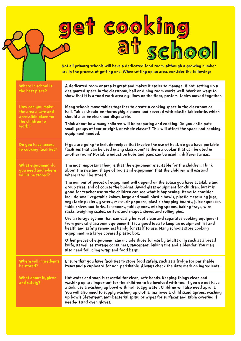| et cooking<br>at school<br>Not all primary schools will have a dedicated food room, although a growing number<br>are in the process of getting one. When setting up an area, consider the following: |                                                                                                                                                                                                                                                                                                                                                                                                                                                                                                                                                                                                                 |
|------------------------------------------------------------------------------------------------------------------------------------------------------------------------------------------------------|-----------------------------------------------------------------------------------------------------------------------------------------------------------------------------------------------------------------------------------------------------------------------------------------------------------------------------------------------------------------------------------------------------------------------------------------------------------------------------------------------------------------------------------------------------------------------------------------------------------------|
| Where in school is<br>the best place?                                                                                                                                                                | A dedicated room or area is great and makes it easier to manage. If not, setting up a<br>designated space in the classroom, hall or dining room works well. Work on ways to<br>show that it is a food work area e.g. lines on the floor, posters, tables moved together.                                                                                                                                                                                                                                                                                                                                        |
| How can you make<br>the area a safe and<br>accessible place for                                                                                                                                      | Many schools move tables together to create a cooking space in the classroom or<br>hall. Tables should be thoroughly cleaned and covered with plastic tablecloths which<br>should also be clean and disposable.                                                                                                                                                                                                                                                                                                                                                                                                 |
| the children to<br>work?                                                                                                                                                                             | Think about how many children will be preparing and cooking. Do you anticipate<br>small groups of four or eight, or whole classes? This will affect the space and cooking<br>equipment needed.                                                                                                                                                                                                                                                                                                                                                                                                                  |
| Do you have access<br>to cooking facilities?                                                                                                                                                         | If you are going to include recipes that involve the use of heat, do you have portable<br>facilities that can be used in any classroom? Is there a cooker that can be used in<br>another room? Portable induction hobs and pans can be used in different areas.                                                                                                                                                                                                                                                                                                                                                 |
| What equipment do<br>you need and where<br>will it be stored?                                                                                                                                        | The most important thing is that the equipment is suitable for the children. Think<br>about the size and shape of tools and equipment that the children will use and<br>where it will be stored.                                                                                                                                                                                                                                                                                                                                                                                                                |
|                                                                                                                                                                                                      | The number of pieces of equipment will depend on the space you have available and<br>group sizes, and of course the budget. Avoid glass equipment for children, but it is<br>good for teacher use so the children can see what is happening. Items to consider<br>include small vegetable knives, large and small plastic bowls, plastic measuring jugs,<br>vegetable peelers, graters, measuring spoons, plastic chopping boards, juice squeezer,<br>table knives and forks, teaspoons, tablespoons, mixing spoons, baking trays, wire<br>racks, weighing scales, cutters and shapes, sieves and rolling pins. |
|                                                                                                                                                                                                      | Use a storage system that can easily be kept clean and separates cooking equipment<br>from general classroom equipment! It is a good idea to keep an equipment list and<br>health and safety reminders handy for staff to use. Many schools store cooking<br>equipment in a large covered plastic box.                                                                                                                                                                                                                                                                                                          |
|                                                                                                                                                                                                      | Other pieces of equipment can include those for use by adults only such as a bread<br>knife, as well as storage containers, saucepans, baking tins and a blender. You may<br>also need foil, cling wrap and food bags.                                                                                                                                                                                                                                                                                                                                                                                          |
| <b>Where will ingredients</b><br>be stored?                                                                                                                                                          | Ensure that you have facilities to store food safely, such as a fridge for perishable<br>items and a cupboard for non-perishable. Always check the date mark on ingredients.                                                                                                                                                                                                                                                                                                                                                                                                                                    |
| What about hygiene<br>and safety?                                                                                                                                                                    | Hot water and soap is essential for clean, safe hands. Keeping things clean and<br>washing up are important for the children to be involved with too. If you do not have<br>a sink, use a washing up bowl with hot, soapy water. Children will also need aprons.<br>You will also need to supply washing up cloths, tea towels, child sized aprons, washing<br>up bowls (detergent, anti-bacterial spray or wipes for surfaces and table covering if<br>needed) and oven gloves.                                                                                                                                |

 $\boldsymbol{\mathcal{S}}$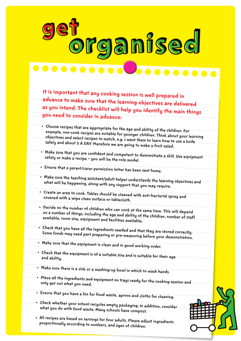

It is important that any cooking session is well prepared in advance to make sure that the learning objectives are delivered as you intend. The checklist will help you identify the main things you need to consider in advance:

- • Choose recipes that are appropriate for the age and ability of the children. For example, non-cook recipes are suitable for younger children. Think about your learning objectives and select recipes to match, e.g. I want them to learn how to use a knife safely and about 5 A DAY therefore we are going to make a fruit salad.
- Make sure that you are confident and competent to demonstrate a skill. Use equipment<br>safely or make a recine you will be the sel send to the safely or make a recipe – you will be the role model.
- • Ensure that <sup>a</sup> parent/carer permission letter has been sent home.
- • Make sure the teaching assistant/adult helper understands the learning objectives and what will be happening, along with any support that you may require.
- • Create an area to cook. Tables should be cleaned with anti-bacterial spray and covered with a wipe clean surface or tablecloth.
- Decide on the number of children who can cook at the same time. This will depend<br>on a number of things, including the assessed to the same time. This will depend on a number of things, including the age and ability of the children, number of staff available, room size, equipment and facilities available.
- Check that you have all the ingredients needed and that they are stored correctly.<br>Some foods may need nart proparing exame Some foods may need part preparing or pre-measuring before your demonstration.
- • Make sure that the equipment is clean and in good working order.
- $\bullet$  Check that the equipment is of a suitable size and is suitable for their age and ability.
- Make sure there is a sink or a washing-up bowl in which to wash hands.
- • Place all the ingredients and equipment on trays ready for the cooking session and only get out what you need.
- • Ensure that you have <sup>a</sup> bin for food waste, aprons and cloths for cleaning.
- • Check whether your school recycles empty packaging. In addition, consider what you do with food waste. Many schools have compost.
- • All recipes are based on servings for four adults. Please adjust ingredients proportionally according to numbers, and ages of children.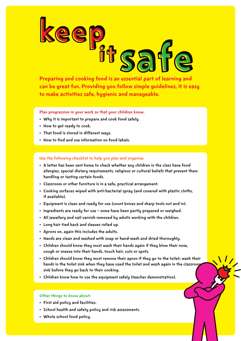# keep<br>If salt experime and cooking food is an essential part of learning and

Preparing and cooking food is an essential part of learning and can be great fun. Providing you follow simple guidelines, it is easy to make activities safe, hygienic and manageable.

Plan progression in your work so that your children know:

- Why it is important to prepare and cook food safely.
- • How to get ready to cook.
- • That food is stored in different ways.
- How to find and use information on food labels.

### Use the following checklist to help you plan and organise:

- A letter has been sent home to check whether any children in the class have food allergies, special dietary requirements, religious or cultural beliefs that prevent them handling or tasting certain foods.
- • Classroom or other furniture is in a safe, practical arrangement.
- • Cooking surfaces wiped with anti-bacterial spray (and covered with plastic cloths, if available).
- • Equipment is clean and ready for use (count knives and sharp tools out and in).
- Ingredients are ready for use some have been partly prepared or weighed.
- • All jewellery and nail varnish removed by adults working with the children.
- • Long hair tied back and sleeves rolled up.
- • Aprons on, again this includes the adults.
- Hands are clean and washed with soap or hand-wash and dried thoroughly.
- Children should know they must wash their hands again if they blow their nose, cough or sneeze into their hands, touch hair, cuts or spots.
- • Children should know they must remove their apron if they go to the toilet; wash their hands in the toilet sink when they have used the toilet and wash again in the classrooj sink before they go back to their cooking.
- • Children know how to use the equipment safely (teacher demonstration).

### Other things to know about:

- • First aid policy and facilities.
- • School health and safety policy and risk assessments.
- • Whole school food policy.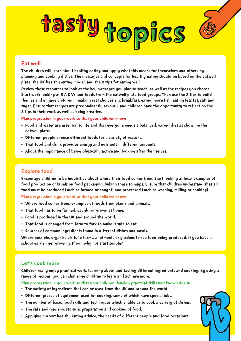# tasty topics



# Eat well

The children will learn about healthy eating and apply what this means for themselves and others by planning and cooking dishes. The messages and concepts for healthy eating should be based on the eatwell plate, the UK healthy eating model, and the 8 tips for eating well.

Review these resources to look at the key messages you plan to teach, as well as the recipes you choose. Start work looking at 5 A DAY and foods from the eatwell plate food groups. Then use the 8 tips to build themes and engage children in making real choices e.g. breakfast, eating more fish, eating less fat, salt and sugar. Ensure that recipes are predominantly savoury, and children have the opportunity to reflect on the 8 tips in their work as well as being creative.

Plan progression in your work so that your children know:

- • Food and water are essential to life and that everyone needs a balanced, varied diet as shown in the eatwell plate.
- Different people choose different foods for a variety of reasons.
- That food and drink provides energy and nutrients in different amounts.
- About the importance of being physically active and looking after themselves.

# Explore food

Encourage children to be inquisitive about where their food comes from. Start looking at local examples of food production or labels on food packaging, linking these to maps. Ensure that children understand that all food must be produced (such as farmed or caught) and processed (such as washing, milling or cooking).

### Plan progression in your work so that your children know:

- Where food comes from, examples of foods from plants and animals.
- • That food has to be farmed, caught or grown at home.
- • Food is produced in the UK and around the world.
- That food is changed from farm to fork to make it safe to eat.
- • Sources of common ingredients found in different dishes and meals.

Where possible, organise visits to farms, allotments or gardens to see food being produced. If you have a school garden get growing. If not, why not start simple?

### Let's cook more

Children really enjoy practical work, learning about and tasting different ingredients and cooking. By using a range of recipes, you can challenge children to learn and achieve more.

Plan progression in your work so that your children develop practical skills and knowledge in:

- The variety of ingredients that can be used from the UK and around the world.
- Different pieces of equipment used for cooking, some of which have special jobs.
- • The number of basic food skills and techniques which enable us to cook a variety of dishes.
- The safe and hygienic storage, preparation and cooking of food.
- • Applying current healthy eating advice, the needs of different people and food occasions.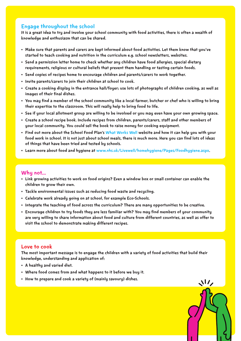### Engage throughout the school

It is a great idea to try and involve your school community with food activities, there is often a wealth of knowledge and enthusiasm that can be shared.

- • Make sure that parents and carers are kept informed about food activities. Let them know that you've started to teach cooking and nutrition in the curriculum e.g. school newsletters, websites.
- Send a permission letter home to check whether any children have food allergies, special dietary requirements, religious or cultural beliefs that prevent them handling or tasting certain foods.
- • Send copies of recipes home to encourage children and parents/carers to work together.
- • Invite parents/carers to join their children at school to cook.
- • Create a cooking display in the entrance hall/foyer; use lots of photographs of children cooking, as well as images of their final dishes.
- • You may find a member of the school community like a local farmer, butcher or chef who is willing to bring their expertise to the classroom. This will really help to bring food to life.
- • See if your local allotment group are willing to be involved or you may even have your own growing space.
- • Create a school recipe book. Include recipes from children, parents/carers, staff and other members of your local community. You could sell the book to raise money for cooking equipment.
- Find out more about the School Food Plan's [What Works Well](http://whatworkswell.schoolfoodplan.com) website and how it can help you with your food work in school. It is not just about school meals, there is much more. Here you can find lots of ideas of things that have been tried and tested by schools.
- • Learn more about food and hygiene at [www.nhs.uk/Livewell/homehygiene/Pages/Foodhygiene.aspx](http://www.nhs.uk/Livewell/homehygiene/Pages/Foodhygiene.aspx).

### Why not...

- • Link growing activities to work on food origins? Even a window box or small container can enable the children to grow their own.
- • Tackle environmental issues such as reducing food waste and recycling.
- • Celebrate work already going on at school, for example Eco-Schools.
- • Integrate the teaching of food across the curriculum? There are many opportunities to be creative.
- • Encourage children to try foods they are less familiar with? You may find members of your community are very willing to share information about food and culture from different countries, as well as offer to visit the school to demonstrate making different recipes.

### Love to cook

The most important message is to engage the children with a variety of food activities that build their knowledge, understanding and application of:

 $\bf M$ 

- • A healthy and varied diet.
- • Where food comes from and what happens to it before we buy it.
- How to prepare and cook a variety of (mainly savoury) dishes.